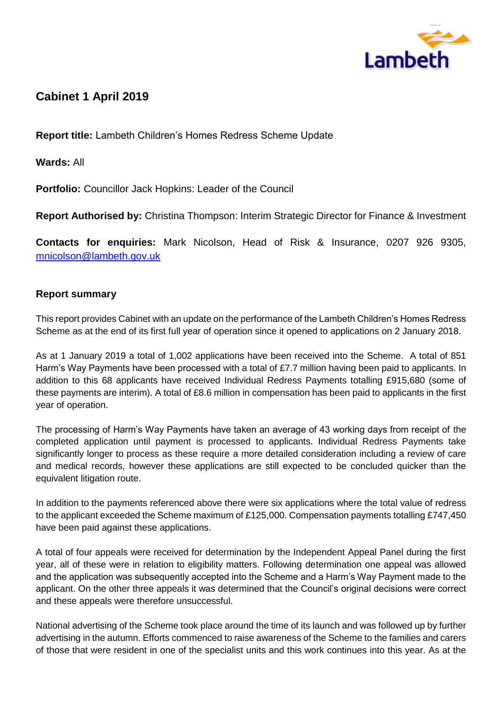

# **Cabinet 1 April 2019**

**Report title:** Lambeth Children's Homes Redress Scheme Update

**Wards:** All

**Portfolio:** Councillor Jack Hopkins: Leader of the Council

**Report Authorised by:** Christina Thompson: Interim Strategic Director for Finance & Investment

**Contacts for enquiries:** Mark Nicolson, Head of Risk & Insurance, 0207 926 9305, [mnicolson@lambeth.gov.uk](mailto:mnicolson@lambeth.gov.uk)

# **Report summary**

This report provides Cabinet with an update on the performance of the Lambeth Children's Homes Redress Scheme as at the end of its first full year of operation since it opened to applications on 2 January 2018.

As at 1 January 2019 a total of 1,002 applications have been received into the Scheme. A total of 851 Harm's Way Payments have been processed with a total of £7.7 million having been paid to applicants. In addition to this 68 applicants have received Individual Redress Payments totalling £915,680 (some of these payments are interim). A total of £8.6 million in compensation has been paid to applicants in the first year of operation.

The processing of Harm's Way Payments have taken an average of 43 working days from receipt of the completed application until payment is processed to applicants. Individual Redress Payments take significantly longer to process as these require a more detailed consideration including a review of care and medical records, however these applications are still expected to be concluded quicker than the equivalent litigation route.

In addition to the payments referenced above there were six applications where the total value of redress to the applicant exceeded the Scheme maximum of £125,000. Compensation payments totalling £747,450 have been paid against these applications.

A total of four appeals were received for determination by the Independent Appeal Panel during the first year, all of these were in relation to eligibility matters. Following determination one appeal was allowed and the application was subsequently accepted into the Scheme and a Harm's Way Payment made to the applicant. On the other three appeals it was determined that the Council's original decisions were correct and these appeals were therefore unsuccessful.

National advertising of the Scheme took place around the time of its launch and was followed up by further advertising in the autumn. Efforts commenced to raise awareness of the Scheme to the families and carers of those that were resident in one of the specialist units and this work continues into this year. As at the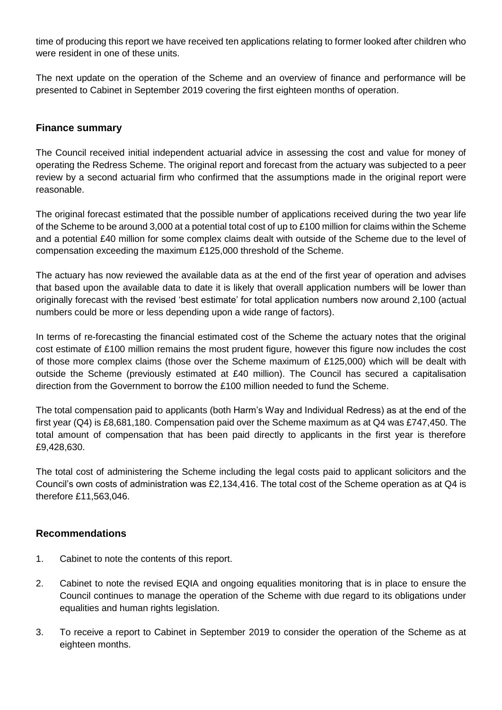time of producing this report we have received ten applications relating to former looked after children who were resident in one of these units.

The next update on the operation of the Scheme and an overview of finance and performance will be presented to Cabinet in September 2019 covering the first eighteen months of operation.

## **Finance summary**

The Council received initial independent actuarial advice in assessing the cost and value for money of operating the Redress Scheme. The original report and forecast from the actuary was subjected to a peer review by a second actuarial firm who confirmed that the assumptions made in the original report were reasonable.

The original forecast estimated that the possible number of applications received during the two year life of the Scheme to be around 3,000 at a potential total cost of up to £100 million for claims within the Scheme and a potential £40 million for some complex claims dealt with outside of the Scheme due to the level of compensation exceeding the maximum £125,000 threshold of the Scheme.

The actuary has now reviewed the available data as at the end of the first year of operation and advises that based upon the available data to date it is likely that overall application numbers will be lower than originally forecast with the revised 'best estimate' for total application numbers now around 2,100 (actual numbers could be more or less depending upon a wide range of factors).

In terms of re-forecasting the financial estimated cost of the Scheme the actuary notes that the original cost estimate of £100 million remains the most prudent figure, however this figure now includes the cost of those more complex claims (those over the Scheme maximum of £125,000) which will be dealt with outside the Scheme (previously estimated at £40 million). The Council has secured a capitalisation direction from the Government to borrow the £100 million needed to fund the Scheme.

The total compensation paid to applicants (both Harm's Way and Individual Redress) as at the end of the first year (Q4) is £8,681,180. Compensation paid over the Scheme maximum as at Q4 was £747,450. The total amount of compensation that has been paid directly to applicants in the first year is therefore £9,428,630.

The total cost of administering the Scheme including the legal costs paid to applicant solicitors and the Council's own costs of administration was £2,134,416. The total cost of the Scheme operation as at Q4 is therefore £11,563,046.

#### **Recommendations**

- 1. Cabinet to note the contents of this report.
- 2. Cabinet to note the revised EQIA and ongoing equalities monitoring that is in place to ensure the Council continues to manage the operation of the Scheme with due regard to its obligations under equalities and human rights legislation.
- 3. To receive a report to Cabinet in September 2019 to consider the operation of the Scheme as at eighteen months.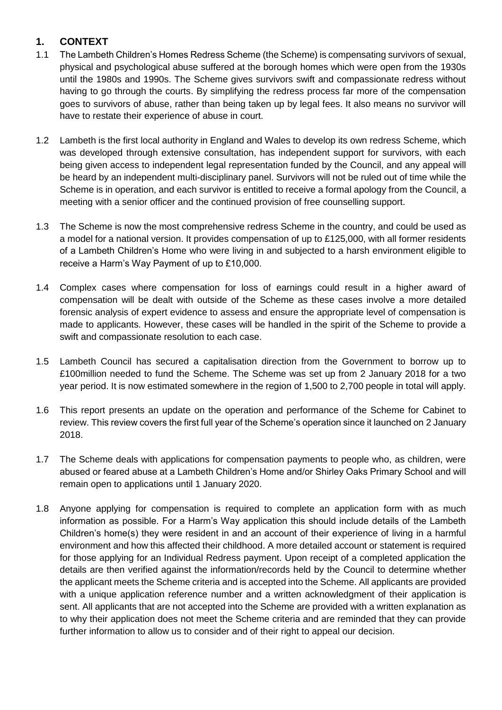# **1. CONTEXT**

- 1.1 The Lambeth Children's Homes Redress Scheme (the Scheme) is compensating survivors of sexual, physical and psychological abuse suffered at the borough homes which were open from the 1930s until the 1980s and 1990s. The Scheme gives survivors swift and compassionate redress without having to go through the courts. By simplifying the redress process far more of the compensation goes to survivors of abuse, rather than being taken up by legal fees. It also means no survivor will have to restate their experience of abuse in court.
- 1.2 Lambeth is the first local authority in England and Wales to develop its own redress Scheme, which was developed through extensive consultation, has independent support for survivors, with each being given access to independent legal representation funded by the Council, and any appeal will be heard by an independent multi-disciplinary panel. Survivors will not be ruled out of time while the Scheme is in operation, and each survivor is entitled to receive a formal apology from the Council, a meeting with a senior officer and the continued provision of free counselling support.
- 1.3 The Scheme is now the most comprehensive redress Scheme in the country, and could be used as a model for a national version. It provides compensation of up to £125,000, with all former residents of a Lambeth Children's Home who were living in and subjected to a harsh environment eligible to receive a Harm's Way Payment of up to £10,000.
- 1.4 Complex cases where compensation for loss of earnings could result in a higher award of compensation will be dealt with outside of the Scheme as these cases involve a more detailed forensic analysis of expert evidence to assess and ensure the appropriate level of compensation is made to applicants. However, these cases will be handled in the spirit of the Scheme to provide a swift and compassionate resolution to each case.
- 1.5 Lambeth Council has secured a capitalisation direction from the Government to borrow up to £100million needed to fund the Scheme. The Scheme was set up from 2 January 2018 for a two year period. It is now estimated somewhere in the region of 1,500 to 2,700 people in total will apply.
- 1.6 This report presents an update on the operation and performance of the Scheme for Cabinet to review. This review covers the first full year of the Scheme's operation since it launched on 2 January 2018.
- 1.7 The Scheme deals with applications for compensation payments to people who, as children, were abused or feared abuse at a Lambeth Children's Home and/or Shirley Oaks Primary School and will remain open to applications until 1 January 2020.
- 1.8 Anyone applying for compensation is required to complete an application form with as much information as possible. For a Harm's Way application this should include details of the Lambeth Children's home(s) they were resident in and an account of their experience of living in a harmful environment and how this affected their childhood. A more detailed account or statement is required for those applying for an Individual Redress payment. Upon receipt of a completed application the details are then verified against the information/records held by the Council to determine whether the applicant meets the Scheme criteria and is accepted into the Scheme. All applicants are provided with a unique application reference number and a written acknowledgment of their application is sent. All applicants that are not accepted into the Scheme are provided with a written explanation as to why their application does not meet the Scheme criteria and are reminded that they can provide further information to allow us to consider and of their right to appeal our decision.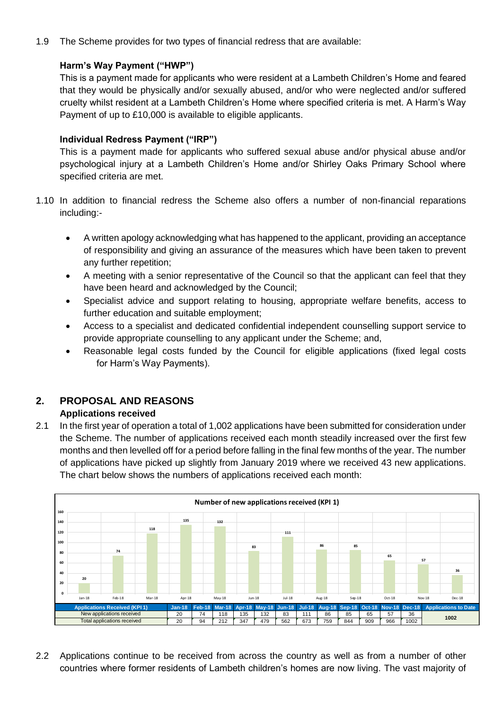1.9 The Scheme provides for two types of financial redress that are available:

# **Harm's Way Payment ("HWP")**

This is a payment made for applicants who were resident at a Lambeth Children's Home and feared that they would be physically and/or sexually abused, and/or who were neglected and/or suffered cruelty whilst resident at a Lambeth Children's Home where specified criteria is met. A Harm's Way Payment of up to £10,000 is available to eligible applicants.

## **Individual Redress Payment ("IRP")**

This is a payment made for applicants who suffered sexual abuse and/or physical abuse and/or psychological injury at a Lambeth Children's Home and/or Shirley Oaks Primary School where specified criteria are met.

- 1.10 In addition to financial redress the Scheme also offers a number of non-financial reparations including:-
	- A written apology acknowledging what has happened to the applicant, providing an acceptance of responsibility and giving an assurance of the measures which have been taken to prevent any further repetition;
	- A meeting with a senior representative of the Council so that the applicant can feel that they have been heard and acknowledged by the Council;
	- Specialist advice and support relating to housing, appropriate welfare benefits, access to further education and suitable employment;
	- Access to a specialist and dedicated confidential independent counselling support service to provide appropriate counselling to any applicant under the Scheme; and,
	- Reasonable legal costs funded by the Council for eligible applications (fixed legal costs for Harm's Way Payments).

# **2. PROPOSAL AND REASONS**

# **Applications received**

2.1 In the first year of operation a total of 1,002 applications have been submitted for consideration under the Scheme. The number of applications received each month steadily increased over the first few months and then levelled off for a period before falling in the final few months of the year. The number of applications have picked up slightly from January 2019 where we received 43 new applications. The chart below shows the numbers of applications received each month:



2.2 Applications continue to be received from across the country as well as from a number of other countries where former residents of Lambeth children's homes are now living. The vast majority of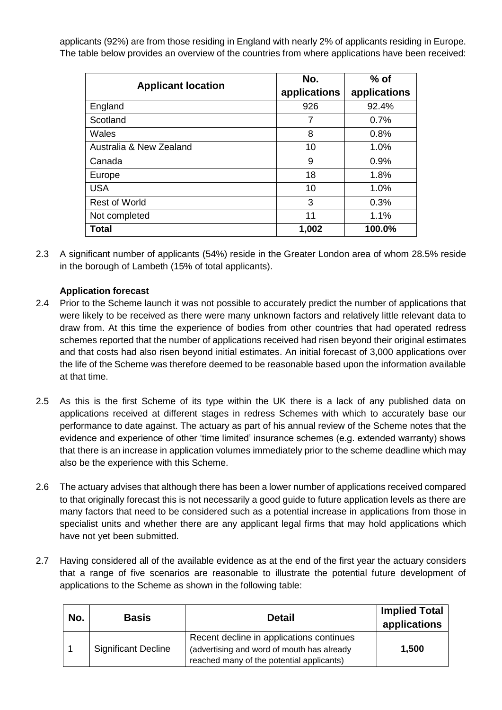applicants (92%) are from those residing in England with nearly 2% of applicants residing in Europe. The table below provides an overview of the countries from where applications have been received:

| <b>Applicant location</b> | No.          | $%$ of       |
|---------------------------|--------------|--------------|
|                           | applications | applications |
| England                   | 926          | 92.4%        |
| Scotland                  | 7            | 0.7%         |
| Wales                     | 8            | 0.8%         |
| Australia & New Zealand   | 10           | 1.0%         |
| Canada                    | 9            | 0.9%         |
| Europe                    | 18           | 1.8%         |
| <b>USA</b>                | 10           | 1.0%         |
| <b>Rest of World</b>      | 3            | 0.3%         |
| Not completed             | 11           | 1.1%         |
| Total                     | 1,002        | 100.0%       |

2.3 A significant number of applicants (54%) reside in the Greater London area of whom 28.5% reside in the borough of Lambeth (15% of total applicants).

# **Application forecast**

- 2.4 Prior to the Scheme launch it was not possible to accurately predict the number of applications that were likely to be received as there were many unknown factors and relatively little relevant data to draw from. At this time the experience of bodies from other countries that had operated redress schemes reported that the number of applications received had risen beyond their original estimates and that costs had also risen beyond initial estimates. An initial forecast of 3,000 applications over the life of the Scheme was therefore deemed to be reasonable based upon the information available at that time.
- 2.5 As this is the first Scheme of its type within the UK there is a lack of any published data on applications received at different stages in redress Schemes with which to accurately base our performance to date against. The actuary as part of his annual review of the Scheme notes that the evidence and experience of other 'time limited' insurance schemes (e.g. extended warranty) shows that there is an increase in application volumes immediately prior to the scheme deadline which may also be the experience with this Scheme.
- 2.6 The actuary advises that although there has been a lower number of applications received compared to that originally forecast this is not necessarily a good guide to future application levels as there are many factors that need to be considered such as a potential increase in applications from those in specialist units and whether there are any applicant legal firms that may hold applications which have not yet been submitted.
- 2.7 Having considered all of the available evidence as at the end of the first year the actuary considers that a range of five scenarios are reasonable to illustrate the potential future development of applications to the Scheme as shown in the following table:

| No. | <b>Basis</b>               | <b>Detail</b>                                                                                                                       | <b>Implied Total</b><br>applications |
|-----|----------------------------|-------------------------------------------------------------------------------------------------------------------------------------|--------------------------------------|
|     | <b>Significant Decline</b> | Recent decline in applications continues<br>(advertising and word of mouth has already<br>reached many of the potential applicants) | 1,500                                |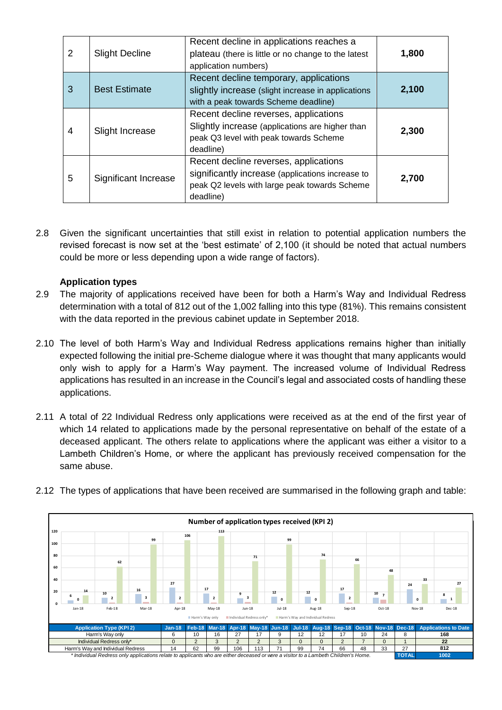| $\overline{2}$ | <b>Slight Decline</b> | Recent decline in applications reaches a<br>plateau (there is little or no change to the latest<br>application numbers)                                 |       |
|----------------|-----------------------|---------------------------------------------------------------------------------------------------------------------------------------------------------|-------|
| 3              | <b>Best Estimate</b>  | Recent decline temporary, applications<br>slightly increase (slight increase in applications<br>with a peak towards Scheme deadline)                    | 2,100 |
| 4              | Slight Increase       | Recent decline reverses, applications<br>Slightly increase (applications are higher than<br>peak Q3 level with peak towards Scheme<br>deadline)         | 2,300 |
| 5              | Significant Increase  | Recent decline reverses, applications<br>significantly increase (applications increase to<br>peak Q2 levels with large peak towards Scheme<br>deadline) | 2,700 |

2.8 Given the significant uncertainties that still exist in relation to potential application numbers the revised forecast is now set at the 'best estimate' of 2,100 (it should be noted that actual numbers could be more or less depending upon a wide range of factors).

#### **Application types**

- 2.9 The majority of applications received have been for both a Harm's Way and Individual Redress determination with a total of 812 out of the 1,002 falling into this type (81%). This remains consistent with the data reported in the previous cabinet update in September 2018.
- 2.10 The level of both Harm's Way and Individual Redress applications remains higher than initially expected following the initial pre-Scheme dialogue where it was thought that many applicants would only wish to apply for a Harm's Way payment. The increased volume of Individual Redress applications has resulted in an increase in the Council's legal and associated costs of handling these applications.
- 2.11 A total of 22 Individual Redress only applications were received as at the end of the first year of which 14 related to applications made by the personal representative on behalf of the estate of a deceased applicant. The others relate to applications where the applicant was either a visitor to a Lambeth Children's Home, or where the applicant has previously received compensation for the same abuse.



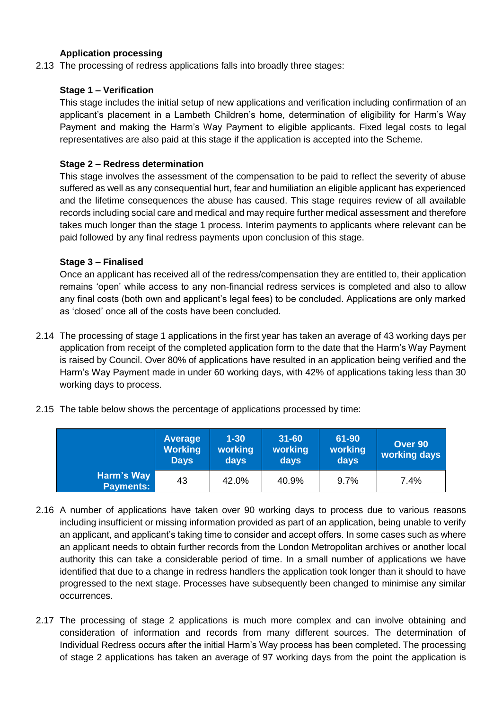# **Application processing**

2.13 The processing of redress applications falls into broadly three stages:

#### **Stage 1 – Verification**

This stage includes the initial setup of new applications and verification including confirmation of an applicant's placement in a Lambeth Children's home, determination of eligibility for Harm's Way Payment and making the Harm's Way Payment to eligible applicants. Fixed legal costs to legal representatives are also paid at this stage if the application is accepted into the Scheme.

#### **Stage 2 – Redress determination**

This stage involves the assessment of the compensation to be paid to reflect the severity of abuse suffered as well as any consequential hurt, fear and humiliation an eligible applicant has experienced and the lifetime consequences the abuse has caused. This stage requires review of all available records including social care and medical and may require further medical assessment and therefore takes much longer than the stage 1 process. Interim payments to applicants where relevant can be paid followed by any final redress payments upon conclusion of this stage.

#### **Stage 3 – Finalised**

Once an applicant has received all of the redress/compensation they are entitled to, their application remains 'open' while access to any non-financial redress services is completed and also to allow any final costs (both own and applicant's legal fees) to be concluded. Applications are only marked as 'closed' once all of the costs have been concluded.

- 2.14 The processing of stage 1 applications in the first year has taken an average of 43 working days per application from receipt of the completed application form to the date that the Harm's Way Payment is raised by Council. Over 80% of applications have resulted in an application being verified and the Harm's Way Payment made in under 60 working days, with 42% of applications taking less than 30 working days to process.
- 2.15 The table below shows the percentage of applications processed by time:

|                                | <b>Average</b><br><b>Working</b><br><b>Days</b> | $1 - 30$<br>working<br>days | $31 - 60$<br>working<br>days | 61-90<br>working<br>days | Over 90<br>working days |
|--------------------------------|-------------------------------------------------|-----------------------------|------------------------------|--------------------------|-------------------------|
| Harm's Way<br><b>Payments:</b> | 43                                              | 42.0%                       | 40.9%                        | 9.7%                     | 7.4%                    |

- 2.16 A number of applications have taken over 90 working days to process due to various reasons including insufficient or missing information provided as part of an application, being unable to verify an applicant, and applicant's taking time to consider and accept offers. In some cases such as where an applicant needs to obtain further records from the London Metropolitan archives or another local authority this can take a considerable period of time. In a small number of applications we have identified that due to a change in redress handlers the application took longer than it should to have progressed to the next stage. Processes have subsequently been changed to minimise any similar occurrences.
- 2.17 The processing of stage 2 applications is much more complex and can involve obtaining and consideration of information and records from many different sources. The determination of Individual Redress occurs after the initial Harm's Way process has been completed. The processing of stage 2 applications has taken an average of 97 working days from the point the application is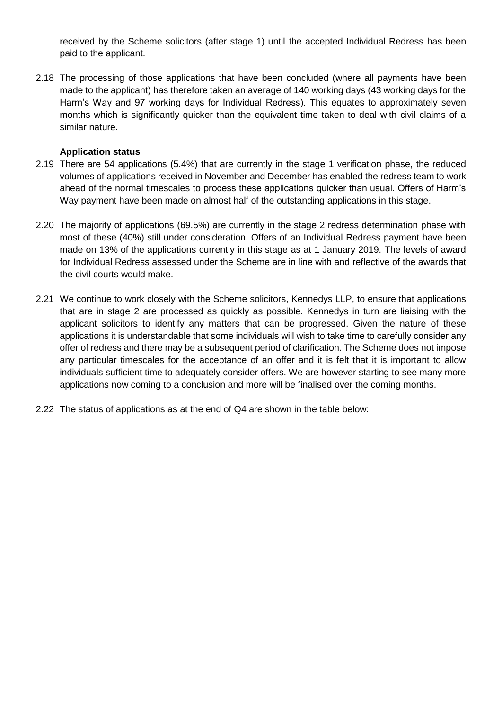received by the Scheme solicitors (after stage 1) until the accepted Individual Redress has been paid to the applicant.

2.18 The processing of those applications that have been concluded (where all payments have been made to the applicant) has therefore taken an average of 140 working days (43 working days for the Harm's Way and 97 working days for Individual Redress). This equates to approximately seven months which is significantly quicker than the equivalent time taken to deal with civil claims of a similar nature.

#### **Application status**

- 2.19 There are 54 applications (5.4%) that are currently in the stage 1 verification phase, the reduced volumes of applications received in November and December has enabled the redress team to work ahead of the normal timescales to process these applications quicker than usual. Offers of Harm's Way payment have been made on almost half of the outstanding applications in this stage.
- 2.20 The majority of applications (69.5%) are currently in the stage 2 redress determination phase with most of these (40%) still under consideration. Offers of an Individual Redress payment have been made on 13% of the applications currently in this stage as at 1 January 2019. The levels of award for Individual Redress assessed under the Scheme are in line with and reflective of the awards that the civil courts would make.
- 2.21 We continue to work closely with the Scheme solicitors, Kennedys LLP, to ensure that applications that are in stage 2 are processed as quickly as possible. Kennedys in turn are liaising with the applicant solicitors to identify any matters that can be progressed. Given the nature of these applications it is understandable that some individuals will wish to take time to carefully consider any offer of redress and there may be a subsequent period of clarification. The Scheme does not impose any particular timescales for the acceptance of an offer and it is felt that it is important to allow individuals sufficient time to adequately consider offers. We are however starting to see many more applications now coming to a conclusion and more will be finalised over the coming months.
- 2.22 The status of applications as at the end of Q4 are shown in the table below: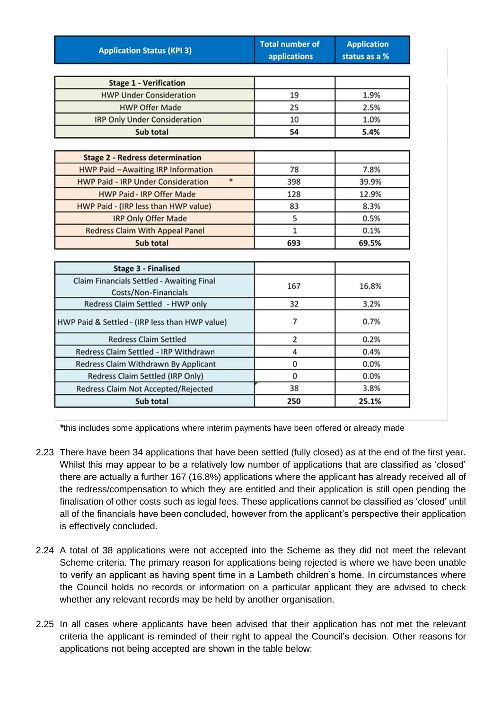| <b>Application Status (KPI 3)</b>                                 | <b>Total number of</b><br>applications | <b>Application</b><br>status as a % |
|-------------------------------------------------------------------|----------------------------------------|-------------------------------------|
|                                                                   |                                        |                                     |
| <b>Stage 1 - Verification</b>                                     |                                        |                                     |
| <b>HWP Under Consideration</b>                                    | 19                                     | 1.9%                                |
| <b>HWP Offer Made</b>                                             | 25                                     | 2.5%                                |
| <b>IRP Only Under Consideration</b>                               | 10                                     | 1.0%                                |
| Sub total                                                         | 54                                     | 5.4%                                |
| <b>Stage 2 - Redress determination</b>                            |                                        |                                     |
| <b>HWP Paid - Awaiting IRP Information</b>                        | 78                                     | 7.8%                                |
| $\ast$<br><b>HWP Paid - IRP Under Consideration</b>               | 398                                    | 39.9%                               |
| <b>HWP Paid - IRP Offer Made</b>                                  | 128                                    | 12.9%                               |
| HWP Paid - (IRP less than HWP value)                              | 83                                     | 8.3%                                |
| <b>IRP Only Offer Made</b>                                        | 5                                      | 0.5%                                |
| <b>Redress Claim With Appeal Panel</b>                            | $\mathbf{1}$                           | 0.1%                                |
| Sub total                                                         | 693                                    | 69.5%                               |
| <b>Stage 3 - Finalised</b>                                        |                                        |                                     |
| Claim Financials Settled - Awaiting Final<br>Costs/Non-Financials | 167                                    | 16.8%                               |
| Redress Claim Settled - HWP only                                  | 32                                     | 3.2%                                |
| HWP Paid & Settled - (IRP less than HWP value)                    | 7                                      | 0.7%                                |
| <b>Redress Claim Settled</b>                                      | 2                                      | 0.2%                                |
| Redress Claim Settled - IRP Withdrawn                             | 4                                      | 0.4%                                |
| Redress Claim Withdrawn By Applicant                              | 0                                      | 0.0%                                |
| Redress Claim Settled (IRP Only)                                  | 0                                      | 0.0%                                |
| Redress Claim Not Accepted/Rejected                               | 38                                     | 3.8%                                |
| Sub total                                                         | 250                                    | 25.1%                               |

*\**this includes some applications where interim payments have been offered or already made

- 2.23 There have been 34 applications that have been settled (fully closed) as at the end of the first year. Whilst this may appear to be a relatively low number of applications that are classified as 'closed' there are actually a further 167 (16.8%) applications where the applicant has already received all of the redress/compensation to which they are entitled and their application is still open pending the finalisation of other costs such as legal fees. These applications cannot be classified as 'closed' until all of the financials have been concluded, however from the applicant's perspective their application is effectively concluded.
- 2.24 A total of 38 applications were not accepted into the Scheme as they did not meet the relevant Scheme criteria. The primary reason for applications being rejected is where we have been unable to verify an applicant as having spent time in a Lambeth children's home. In circumstances where the Council holds no records or information on a particular applicant they are advised to check whether any relevant records may be held by another organisation.
- 2.25 In all cases where applicants have been advised that their application has not met the relevant criteria the applicant is reminded of their right to appeal the Council's decision. Other reasons for applications not being accepted are shown in the table below: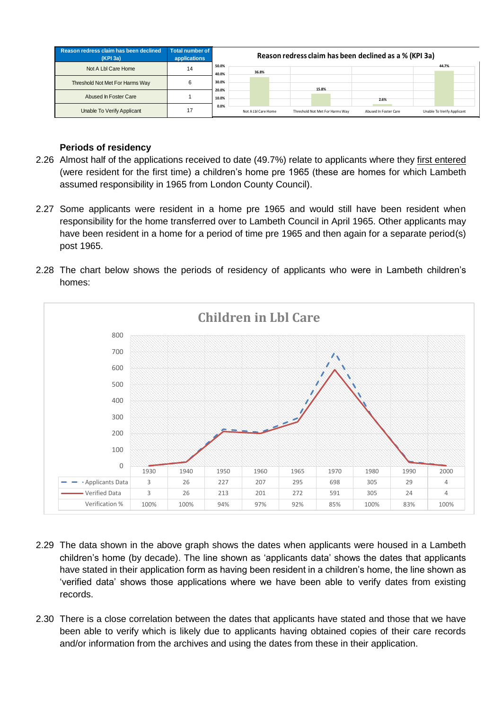| Reason redress claim has been declined<br>(KPI 3a) | <b>Total number of</b><br>applications |                |                     |  |       |                                 | Reason redress claim has been declined as a % (KPI 3a) |                            |  |
|----------------------------------------------------|----------------------------------------|----------------|---------------------|--|-------|---------------------------------|--------------------------------------------------------|----------------------------|--|
| Not A Lbl Care Home                                | 14                                     | 50.0%<br>40.0% | 36.8%               |  |       |                                 |                                                        | 44.7%                      |  |
| Threshold Not Met For Harms Way                    | 6                                      | 30.0%          |                     |  | 15.8% |                                 |                                                        |                            |  |
| Abused In Foster Care                              |                                        | 20.0%<br>10.0% |                     |  |       |                                 | 2.6%                                                   |                            |  |
| Unable To Verify Applicant                         | 17                                     | 0.0%           | Not A Lbl Care Home |  |       | Threshold Not Met For Harms Way | Abused In Foster Care                                  | Unable To Verify Applicant |  |

## **Periods of residency**

- 2.26 Almost half of the applications received to date (49.7%) relate to applicants where they first entered (were resident for the first time) a children's home pre 1965 (these are homes for which Lambeth assumed responsibility in 1965 from London County Council).
- 2.27 Some applicants were resident in a home pre 1965 and would still have been resident when responsibility for the home transferred over to Lambeth Council in April 1965. Other applicants may have been resident in a home for a period of time pre 1965 and then again for a separate period(s) post 1965.
- 2.28 The chart below shows the periods of residency of applicants who were in Lambeth children's homes:



- 2.29 The data shown in the above graph shows the dates when applicants were housed in a Lambeth children's home (by decade). The line shown as 'applicants data' shows the dates that applicants have stated in their application form as having been resident in a children's home, the line shown as 'verified data' shows those applications where we have been able to verify dates from existing records.
- 2.30 There is a close correlation between the dates that applicants have stated and those that we have been able to verify which is likely due to applicants having obtained copies of their care records and/or information from the archives and using the dates from these in their application.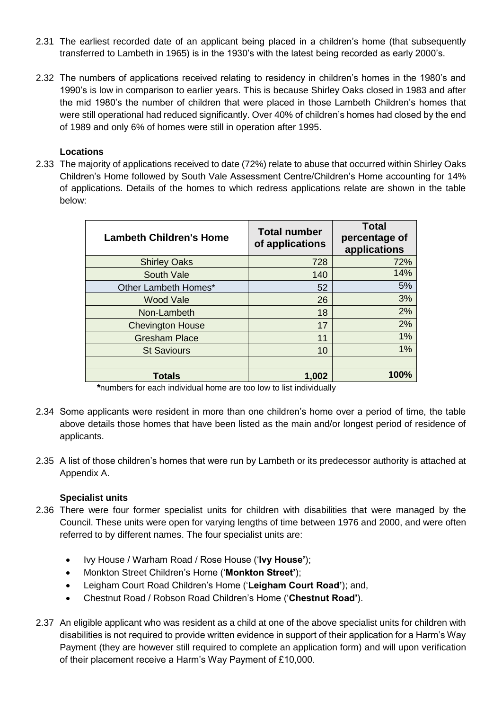- 2.31 The earliest recorded date of an applicant being placed in a children's home (that subsequently transferred to Lambeth in 1965) is in the 1930's with the latest being recorded as early 2000's.
- 2.32 The numbers of applications received relating to residency in children's homes in the 1980's and 1990's is low in comparison to earlier years. This is because Shirley Oaks closed in 1983 and after the mid 1980's the number of children that were placed in those Lambeth Children's homes that were still operational had reduced significantly. Over 40% of children's homes had closed by the end of 1989 and only 6% of homes were still in operation after 1995.

#### **Locations**

2.33 The majority of applications received to date (72%) relate to abuse that occurred within Shirley Oaks Children's Home followed by South Vale Assessment Centre/Children's Home accounting for 14% of applications. Details of the homes to which redress applications relate are shown in the table below:

| <b>Lambeth Children's Home</b> | <b>Total number</b><br>of applications | <b>Total</b><br>percentage of<br>applications |
|--------------------------------|----------------------------------------|-----------------------------------------------|
| <b>Shirley Oaks</b>            | 728                                    | 72%                                           |
| South Vale                     | 140                                    | 14%                                           |
| Other Lambeth Homes*           | 52                                     | 5%                                            |
| <b>Wood Vale</b>               | 26                                     | 3%                                            |
| Non-Lambeth                    | 18                                     | 2%                                            |
| <b>Chevington House</b>        | 17                                     | 2%                                            |
| <b>Gresham Place</b>           | 11                                     | 1%                                            |
| <b>St Saviours</b>             | 10                                     | 1%                                            |
|                                |                                        |                                               |
| <b>Totals</b>                  | 1,002                                  | 100%                                          |

*\**numbers for each individual home are too low to list individually

- 2.34 Some applicants were resident in more than one children's home over a period of time, the table above details those homes that have been listed as the main and/or longest period of residence of applicants.
- 2.35 A list of those children's homes that were run by Lambeth or its predecessor authority is attached at Appendix A.

# **Specialist units**

- 2.36 There were four former specialist units for children with disabilities that were managed by the Council. These units were open for varying lengths of time between 1976 and 2000, and were often referred to by different names. The four specialist units are:
	- Ivy House / Warham Road / Rose House ('**Ivy House'**);
	- Monkton Street Children's Home ('**Monkton Street'**);
	- Leigham Court Road Children's Home ('**Leigham Court Road'**); and,
	- Chestnut Road / Robson Road Children's Home ('**Chestnut Road'**).
- 2.37 An eligible applicant who was resident as a child at one of the above specialist units for children with disabilities is not required to provide written evidence in support of their application for a Harm's Way Payment (they are however still required to complete an application form) and will upon verification of their placement receive a Harm's Way Payment of £10,000.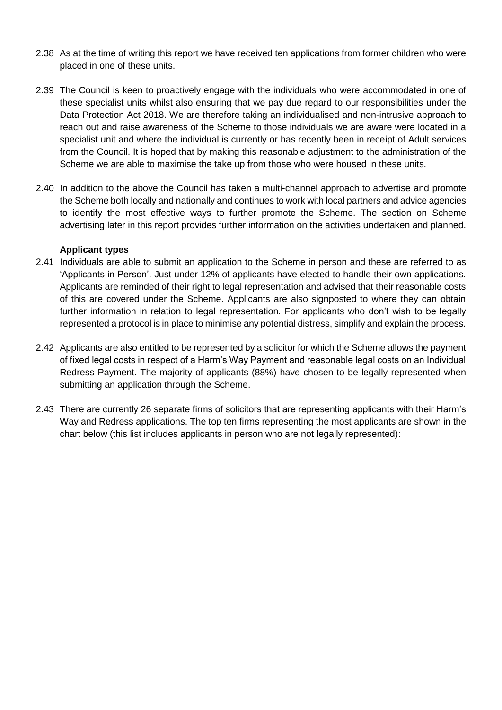- 2.38 As at the time of writing this report we have received ten applications from former children who were placed in one of these units.
- 2.39 The Council is keen to proactively engage with the individuals who were accommodated in one of these specialist units whilst also ensuring that we pay due regard to our responsibilities under the Data Protection Act 2018. We are therefore taking an individualised and non-intrusive approach to reach out and raise awareness of the Scheme to those individuals we are aware were located in a specialist unit and where the individual is currently or has recently been in receipt of Adult services from the Council. It is hoped that by making this reasonable adjustment to the administration of the Scheme we are able to maximise the take up from those who were housed in these units.
- 2.40 In addition to the above the Council has taken a multi-channel approach to advertise and promote the Scheme both locally and nationally and continues to work with local partners and advice agencies to identify the most effective ways to further promote the Scheme. The section on Scheme advertising later in this report provides further information on the activities undertaken and planned.

#### **Applicant types**

- 2.41 Individuals are able to submit an application to the Scheme in person and these are referred to as 'Applicants in Person'. Just under 12% of applicants have elected to handle their own applications. Applicants are reminded of their right to legal representation and advised that their reasonable costs of this are covered under the Scheme. Applicants are also signposted to where they can obtain further information in relation to legal representation. For applicants who don't wish to be legally represented a protocol is in place to minimise any potential distress, simplify and explain the process.
- 2.42 Applicants are also entitled to be represented by a solicitor for which the Scheme allows the payment of fixed legal costs in respect of a Harm's Way Payment and reasonable legal costs on an Individual Redress Payment. The majority of applicants (88%) have chosen to be legally represented when submitting an application through the Scheme.
- 2.43 There are currently 26 separate firms of solicitors that are representing applicants with their Harm's Way and Redress applications. The top ten firms representing the most applicants are shown in the chart below (this list includes applicants in person who are not legally represented):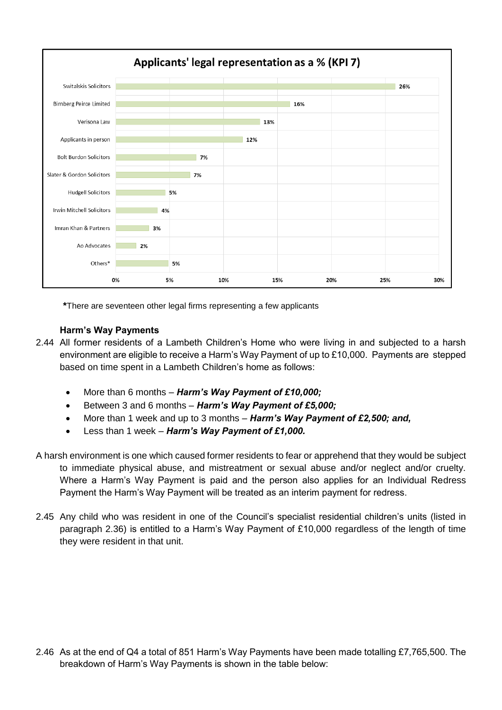

**\***There are seventeen other legal firms representing a few applicants

#### **Harm's Way Payments**

- 2.44 All former residents of a Lambeth Children's Home who were living in and subjected to a harsh environment are eligible to receive a Harm's Way Payment of up to £10,000. Payments are stepped based on time spent in a Lambeth Children's home as follows:
	- More than 6 months *Harm's Way Payment of £10,000;*
	- Between 3 and 6 months *Harm's Way Payment of £5,000;*
	- More than 1 week and up to 3 months *Harm's Way Payment of £2,500; and,*
	- Less than 1 week *Harm's Way Payment of £1,000.*
- A harsh environment is one which caused former residents to fear or apprehend that they would be subject to immediate physical abuse, and mistreatment or sexual abuse and/or neglect and/or cruelty. Where a Harm's Way Payment is paid and the person also applies for an Individual Redress Payment the Harm's Way Payment will be treated as an interim payment for redress.
- 2.45 Any child who was resident in one of the Council's specialist residential children's units (listed in paragraph 2.36) is entitled to a Harm's Way Payment of £10,000 regardless of the length of time they were resident in that unit.

2.46 As at the end of Q4 a total of 851 Harm's Way Payments have been made totalling £7,765,500. The breakdown of Harm's Way Payments is shown in the table below: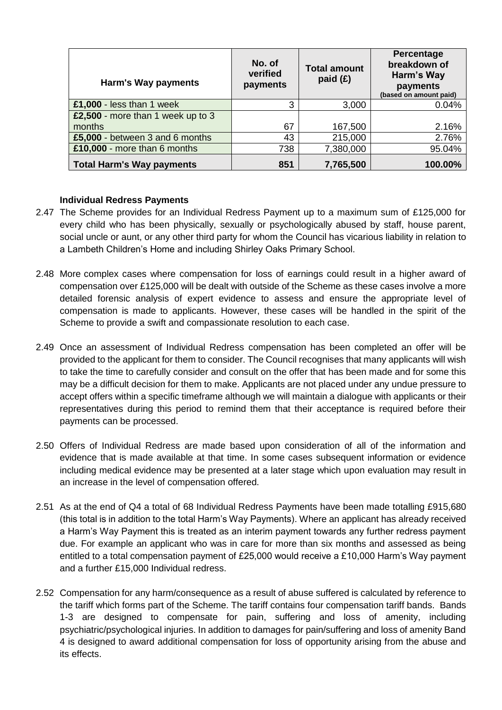| Harm's Way payments               | No. of<br>verified<br>payments | <b>Total amount</b><br>paid (£) | Percentage<br>breakdown of<br>Harm's Way<br>payments<br>(based on amount paid) |
|-----------------------------------|--------------------------------|---------------------------------|--------------------------------------------------------------------------------|
| £1,000 - less than 1 week         | 3                              | 3,000                           | 0.04%                                                                          |
| £2,500 - more than 1 week up to 3 |                                |                                 |                                                                                |
| months                            | 67                             | 167,500                         | 2.16%                                                                          |
| £5,000 - between 3 and 6 months   | 43                             | 215,000                         | 2.76%                                                                          |
| £10,000 - more than 6 months      | 738                            | 7,380,000                       | 95.04%                                                                         |
| <b>Total Harm's Way payments</b>  | 851                            | 7,765,500                       | 100.00%                                                                        |

#### **Individual Redress Payments**

- 2.47 The Scheme provides for an Individual Redress Payment up to a maximum sum of £125,000 for every child who has been physically, sexually or psychologically abused by staff, house parent, social uncle or aunt, or any other third party for whom the Council has vicarious liability in relation to a Lambeth Children's Home and including Shirley Oaks Primary School.
- 2.48 More complex cases where compensation for loss of earnings could result in a higher award of compensation over £125,000 will be dealt with outside of the Scheme as these cases involve a more detailed forensic analysis of expert evidence to assess and ensure the appropriate level of compensation is made to applicants. However, these cases will be handled in the spirit of the Scheme to provide a swift and compassionate resolution to each case.
- 2.49 Once an assessment of Individual Redress compensation has been completed an offer will be provided to the applicant for them to consider. The Council recognises that many applicants will wish to take the time to carefully consider and consult on the offer that has been made and for some this may be a difficult decision for them to make. Applicants are not placed under any undue pressure to accept offers within a specific timeframe although we will maintain a dialogue with applicants or their representatives during this period to remind them that their acceptance is required before their payments can be processed.
- 2.50 Offers of Individual Redress are made based upon consideration of all of the information and evidence that is made available at that time. In some cases subsequent information or evidence including medical evidence may be presented at a later stage which upon evaluation may result in an increase in the level of compensation offered.
- 2.51 As at the end of Q4 a total of 68 Individual Redress Payments have been made totalling £915,680 (this total is in addition to the total Harm's Way Payments). Where an applicant has already received a Harm's Way Payment this is treated as an interim payment towards any further redress payment due. For example an applicant who was in care for more than six months and assessed as being entitled to a total compensation payment of £25,000 would receive a £10,000 Harm's Way payment and a further £15,000 Individual redress.
- 2.52 Compensation for any harm/consequence as a result of abuse suffered is calculated by reference to the tariff which forms part of the Scheme. The tariff contains four compensation tariff bands. Bands 1-3 are designed to compensate for pain, suffering and loss of amenity, including psychiatric/psychological injuries. In addition to damages for pain/suffering and loss of amenity Band 4 is designed to award additional compensation for loss of opportunity arising from the abuse and its effects.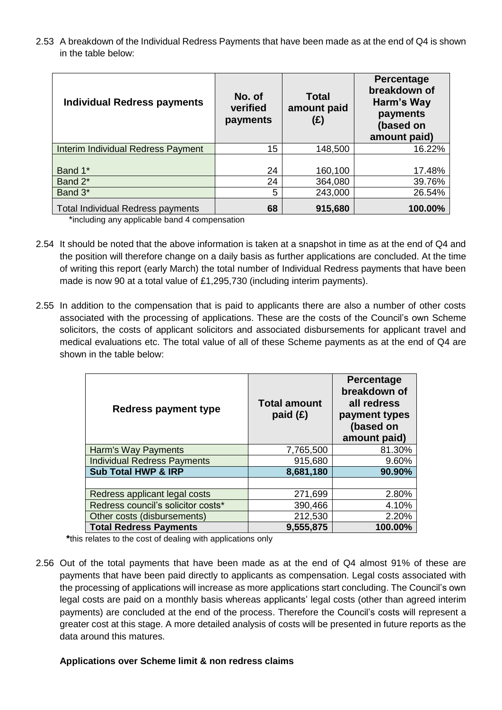2.53 A breakdown of the Individual Redress Payments that have been made as at the end of Q4 is shown in the table below:

| <b>Individual Redress payments</b>       | No. of<br>verified<br>payments | <b>Total</b><br>amount paid<br>(£) | Percentage<br>breakdown of<br>Harm's Way<br>payments<br>(based on<br>amount paid) |
|------------------------------------------|--------------------------------|------------------------------------|-----------------------------------------------------------------------------------|
| Interim Individual Redress Payment       | 15                             | 148,500                            | 16.22%                                                                            |
| Band 1*                                  | 24                             | 160,100                            | 17.48%                                                                            |
| Band 2*                                  | 24                             | 364,080                            | 39.76%                                                                            |
| Band 3*                                  | 5                              | 243,000                            | 26.54%                                                                            |
| <b>Total Individual Redress payments</b> | 68                             | 915,680                            | 100.00%                                                                           |

\*including any applicable band 4 compensation

- 2.54 It should be noted that the above information is taken at a snapshot in time as at the end of Q4 and the position will therefore change on a daily basis as further applications are concluded. At the time of writing this report (early March) the total number of Individual Redress payments that have been made is now 90 at a total value of £1,295,730 (including interim payments).
- 2.55 In addition to the compensation that is paid to applicants there are also a number of other costs associated with the processing of applications. These are the costs of the Council's own Scheme solicitors, the costs of applicant solicitors and associated disbursements for applicant travel and medical evaluations etc. The total value of all of these Scheme payments as at the end of Q4 are shown in the table below:

| <b>Redress payment type</b>        | <b>Total amount</b><br>paid $(E)$ | <b>Percentage</b><br>breakdown of<br>all redress<br>payment types<br>(based on<br>amount paid) |
|------------------------------------|-----------------------------------|------------------------------------------------------------------------------------------------|
| Harm's Way Payments                | 7,765,500                         | 81.30%                                                                                         |
| <b>Individual Redress Payments</b> | 915,680                           | 9.60%                                                                                          |
| <b>Sub Total HWP &amp; IRP</b>     | 8,681,180                         | 90.90%                                                                                         |
|                                    |                                   |                                                                                                |
| Redress applicant legal costs      | 271,699                           | 2.80%                                                                                          |
| Redress council's solicitor costs* | 390,466                           | 4.10%                                                                                          |
| Other costs (disbursements)        | 212,530                           | 2.20%                                                                                          |
| <b>Total Redress Payments</b>      | 9,555,875                         | 100.00%                                                                                        |

**\***this relates to the cost of dealing with applications only

2.56 Out of the total payments that have been made as at the end of Q4 almost 91% of these are payments that have been paid directly to applicants as compensation. Legal costs associated with the processing of applications will increase as more applications start concluding. The Council's own legal costs are paid on a monthly basis whereas applicants' legal costs (other than agreed interim payments) are concluded at the end of the process. Therefore the Council's costs will represent a greater cost at this stage. A more detailed analysis of costs will be presented in future reports as the data around this matures.

# **Applications over Scheme limit & non redress claims**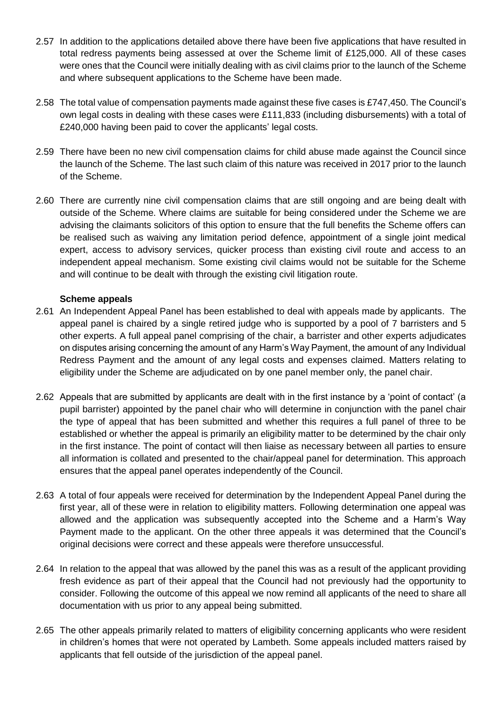- 2.57 In addition to the applications detailed above there have been five applications that have resulted in total redress payments being assessed at over the Scheme limit of £125,000. All of these cases were ones that the Council were initially dealing with as civil claims prior to the launch of the Scheme and where subsequent applications to the Scheme have been made.
- 2.58 The total value of compensation payments made against these five cases is £747,450. The Council's own legal costs in dealing with these cases were £111,833 (including disbursements) with a total of £240,000 having been paid to cover the applicants' legal costs.
- 2.59 There have been no new civil compensation claims for child abuse made against the Council since the launch of the Scheme. The last such claim of this nature was received in 2017 prior to the launch of the Scheme.
- 2.60 There are currently nine civil compensation claims that are still ongoing and are being dealt with outside of the Scheme. Where claims are suitable for being considered under the Scheme we are advising the claimants solicitors of this option to ensure that the full benefits the Scheme offers can be realised such as waiving any limitation period defence, appointment of a single joint medical expert, access to advisory services, quicker process than existing civil route and access to an independent appeal mechanism. Some existing civil claims would not be suitable for the Scheme and will continue to be dealt with through the existing civil litigation route.

#### **Scheme appeals**

- 2.61 An Independent Appeal Panel has been established to deal with appeals made by applicants. The appeal panel is chaired by a single retired judge who is supported by a pool of 7 barristers and 5 other experts. A full appeal panel comprising of the chair, a barrister and other experts adjudicates on disputes arising concerning the amount of any Harm's Way Payment, the amount of any Individual Redress Payment and the amount of any legal costs and expenses claimed. Matters relating to eligibility under the Scheme are adjudicated on by one panel member only, the panel chair.
- 2.62 Appeals that are submitted by applicants are dealt with in the first instance by a 'point of contact' (a pupil barrister) appointed by the panel chair who will determine in conjunction with the panel chair the type of appeal that has been submitted and whether this requires a full panel of three to be established or whether the appeal is primarily an eligibility matter to be determined by the chair only in the first instance. The point of contact will then liaise as necessary between all parties to ensure all information is collated and presented to the chair/appeal panel for determination. This approach ensures that the appeal panel operates independently of the Council.
- 2.63 A total of four appeals were received for determination by the Independent Appeal Panel during the first year, all of these were in relation to eligibility matters. Following determination one appeal was allowed and the application was subsequently accepted into the Scheme and a Harm's Way Payment made to the applicant. On the other three appeals it was determined that the Council's original decisions were correct and these appeals were therefore unsuccessful.
- 2.64 In relation to the appeal that was allowed by the panel this was as a result of the applicant providing fresh evidence as part of their appeal that the Council had not previously had the opportunity to consider. Following the outcome of this appeal we now remind all applicants of the need to share all documentation with us prior to any appeal being submitted.
- 2.65 The other appeals primarily related to matters of eligibility concerning applicants who were resident in children's homes that were not operated by Lambeth. Some appeals included matters raised by applicants that fell outside of the jurisdiction of the appeal panel.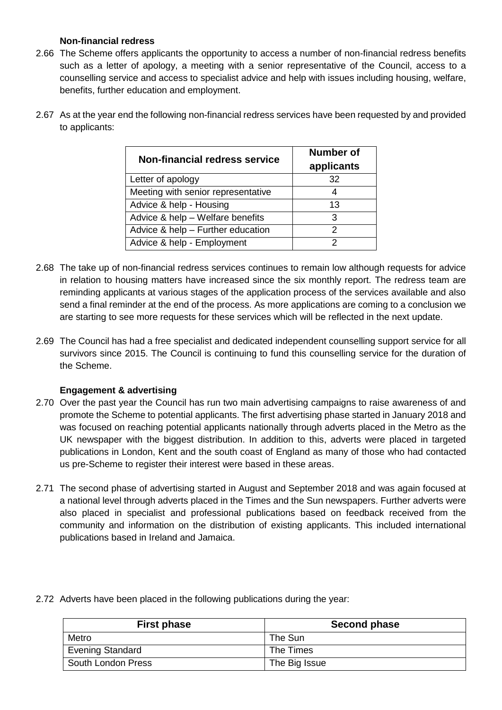## **Non-financial redress**

2.66 The Scheme offers applicants the opportunity to access a number of non-financial redress benefits such as a letter of apology, a meeting with a senior representative of the Council, access to a counselling service and access to specialist advice and help with issues including housing, welfare, benefits, further education and employment.

| <b>Non-financial redress service</b> | <b>Number of</b><br>applicants |
|--------------------------------------|--------------------------------|
| Letter of apology                    | 32                             |
| Meeting with senior representative   |                                |
| Advice & help - Housing              | 13                             |
| Advice & help - Welfare benefits     | 3                              |
| Advice & help - Further education    | 2                              |
| Advice & help - Employment           |                                |

2.67 As at the year end the following non-financial redress services have been requested by and provided to applicants:

- 2.68 The take up of non-financial redress services continues to remain low although requests for advice in relation to housing matters have increased since the six monthly report. The redress team are reminding applicants at various stages of the application process of the services available and also send a final reminder at the end of the process. As more applications are coming to a conclusion we are starting to see more requests for these services which will be reflected in the next update.
- 2.69 The Council has had a free specialist and dedicated independent counselling support service for all survivors since 2015. The Council is continuing to fund this counselling service for the duration of the Scheme.

# **Engagement & advertising**

- 2.70 Over the past year the Council has run two main advertising campaigns to raise awareness of and promote the Scheme to potential applicants. The first advertising phase started in January 2018 and was focused on reaching potential applicants nationally through adverts placed in the Metro as the UK newspaper with the biggest distribution. In addition to this, adverts were placed in targeted publications in London, Kent and the south coast of England as many of those who had contacted us pre-Scheme to register their interest were based in these areas.
- 2.71 The second phase of advertising started in August and September 2018 and was again focused at a national level through adverts placed in the Times and the Sun newspapers. Further adverts were also placed in specialist and professional publications based on feedback received from the community and information on the distribution of existing applicants. This included international publications based in Ireland and Jamaica.

| <b>First phase</b>      | <b>Second phase</b> |
|-------------------------|---------------------|
| Metro                   | The Sun             |
| <b>Evening Standard</b> | The Times           |
| South London Press      | The Big Issue       |

2.72 Adverts have been placed in the following publications during the year: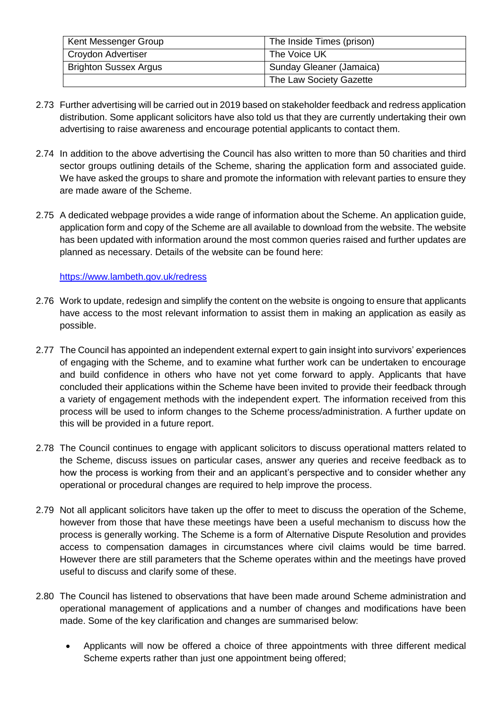| Kent Messenger Group         | The Inside Times (prison) |
|------------------------------|---------------------------|
| Croydon Advertiser           | The Voice UK              |
| <b>Brighton Sussex Argus</b> | Sunday Gleaner (Jamaica)  |
|                              | The Law Society Gazette   |

- 2.73 Further advertising will be carried out in 2019 based on stakeholder feedback and redress application distribution. Some applicant solicitors have also told us that they are currently undertaking their own advertising to raise awareness and encourage potential applicants to contact them.
- 2.74 In addition to the above advertising the Council has also written to more than 50 charities and third sector groups outlining details of the Scheme, sharing the application form and associated guide. We have asked the groups to share and promote the information with relevant parties to ensure they are made aware of the Scheme.
- 2.75 A dedicated webpage provides a wide range of information about the Scheme. An application guide, application form and copy of the Scheme are all available to download from the website. The website has been updated with information around the most common queries raised and further updates are planned as necessary. Details of the website can be found here:

# <https://www.lambeth.gov.uk/redress>

- 2.76 Work to update, redesign and simplify the content on the website is ongoing to ensure that applicants have access to the most relevant information to assist them in making an application as easily as possible.
- 2.77 The Council has appointed an independent external expert to gain insight into survivors' experiences of engaging with the Scheme, and to examine what further work can be undertaken to encourage and build confidence in others who have not yet come forward to apply. Applicants that have concluded their applications within the Scheme have been invited to provide their feedback through a variety of engagement methods with the independent expert. The information received from this process will be used to inform changes to the Scheme process/administration. A further update on this will be provided in a future report.
- 2.78 The Council continues to engage with applicant solicitors to discuss operational matters related to the Scheme, discuss issues on particular cases, answer any queries and receive feedback as to how the process is working from their and an applicant's perspective and to consider whether any operational or procedural changes are required to help improve the process.
- 2.79 Not all applicant solicitors have taken up the offer to meet to discuss the operation of the Scheme, however from those that have these meetings have been a useful mechanism to discuss how the process is generally working. The Scheme is a form of Alternative Dispute Resolution and provides access to compensation damages in circumstances where civil claims would be time barred. However there are still parameters that the Scheme operates within and the meetings have proved useful to discuss and clarify some of these.
- 2.80 The Council has listened to observations that have been made around Scheme administration and operational management of applications and a number of changes and modifications have been made. Some of the key clarification and changes are summarised below:
	- Applicants will now be offered a choice of three appointments with three different medical Scheme experts rather than just one appointment being offered;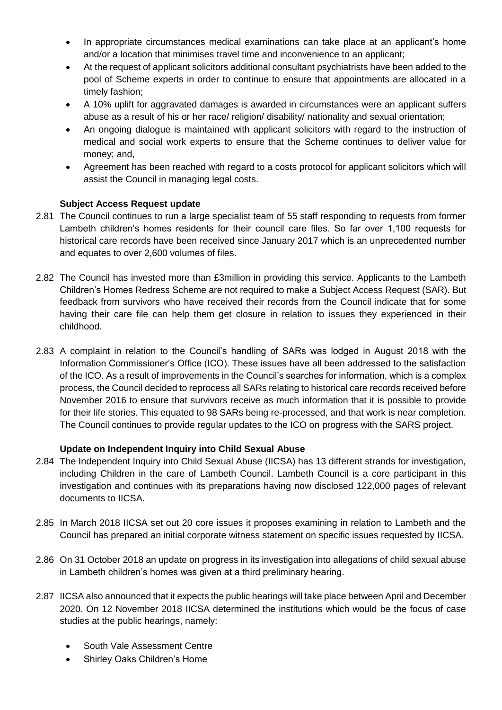- In appropriate circumstances medical examinations can take place at an applicant's home and/or a location that minimises travel time and inconvenience to an applicant;
- At the request of applicant solicitors additional consultant psychiatrists have been added to the pool of Scheme experts in order to continue to ensure that appointments are allocated in a timely fashion;
- A 10% uplift for aggravated damages is awarded in circumstances were an applicant suffers abuse as a result of his or her race/ religion/ disability/ nationality and sexual orientation;
- An ongoing dialogue is maintained with applicant solicitors with regard to the instruction of medical and social work experts to ensure that the Scheme continues to deliver value for money; and,
- Agreement has been reached with regard to a costs protocol for applicant solicitors which will assist the Council in managing legal costs.

# **Subject Access Request update**

- 2.81 The Council continues to run a large specialist team of 55 staff responding to requests from former Lambeth children's homes residents for their council care files. So far over 1,100 requests for historical care records have been received since January 2017 which is an unprecedented number and equates to over 2,600 volumes of files.
- 2.82 The Council has invested more than £3million in providing this service. Applicants to the Lambeth Children's Homes Redress Scheme are not required to make a Subject Access Request (SAR). But feedback from survivors who have received their records from the Council indicate that for some having their care file can help them get closure in relation to issues they experienced in their childhood.
- 2.83 A complaint in relation to the Council's handling of SARs was lodged in August 2018 with the Information Commissioner's Office (ICO). These issues have all been addressed to the satisfaction of the ICO. As a result of improvements in the Council's searches for information, which is a complex process, the Council decided to reprocess all SARs relating to historical care records received before November 2016 to ensure that survivors receive as much information that it is possible to provide for their life stories. This equated to 98 SARs being re-processed, and that work is near completion. The Council continues to provide regular updates to the ICO on progress with the SARS project.

# **Update on Independent Inquiry into Child Sexual Abuse**

- 2.84 The Independent Inquiry into Child Sexual Abuse (IICSA) has 13 different strands for investigation, including Children in the care of Lambeth Council. Lambeth Council is a core participant in this investigation and continues with its preparations having now disclosed 122,000 pages of relevant documents to IICSA.
- 2.85 In March 2018 IICSA set out 20 core issues it proposes examining in relation to Lambeth and the Council has prepared an initial corporate witness statement on specific issues requested by IICSA.
- 2.86 On 31 October 2018 an update on progress in its investigation into allegations of child sexual abuse in Lambeth children's homes was given at a third preliminary hearing.
- 2.87 IICSA also announced that it expects the public hearings will take place between April and December 2020. On 12 November 2018 IICSA determined the institutions which would be the focus of case studies at the public hearings, namely:
	- South Vale Assessment Centre
	- Shirley Oaks Children's Home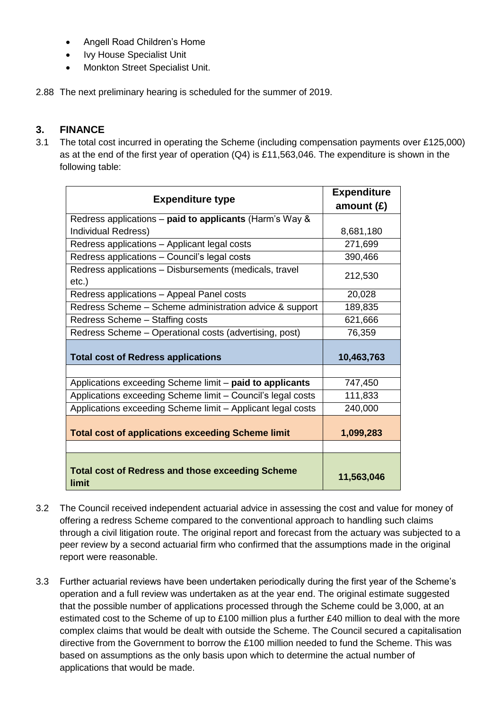- Angell Road Children's Home
- Ivy House Specialist Unit
- Monkton Street Specialist Unit.
- 2.88 The next preliminary hearing is scheduled for the summer of 2019.

# **3. FINANCE**

3.1 The total cost incurred in operating the Scheme (including compensation payments over £125,000) as at the end of the first year of operation (Q4) is £11,563,046. The expenditure is shown in the following table:

| <b>Expenditure type</b>                                          | <b>Expenditure</b> |  |
|------------------------------------------------------------------|--------------------|--|
|                                                                  | amount $(E)$       |  |
| Redress applications – paid to applicants (Harm's Way &          |                    |  |
| Individual Redress)                                              | 8,681,180          |  |
| Redress applications - Applicant legal costs                     | 271,699            |  |
| Redress applications - Council's legal costs                     | 390,466            |  |
| Redress applications - Disbursements (medicals, travel<br>etc.)  | 212,530            |  |
| Redress applications - Appeal Panel costs                        | 20,028             |  |
| Redress Scheme – Scheme administration advice & support          | 189,835            |  |
| Redress Scheme - Staffing costs                                  | 621,666            |  |
| Redress Scheme - Operational costs (advertising, post)           | 76,359             |  |
| <b>Total cost of Redress applications</b>                        | 10,463,763         |  |
|                                                                  |                    |  |
| Applications exceeding Scheme limit - paid to applicants         | 747,450            |  |
| Applications exceeding Scheme limit - Council's legal costs      | 111,833            |  |
| Applications exceeding Scheme limit - Applicant legal costs      | 240,000            |  |
| <b>Total cost of applications exceeding Scheme limit</b>         | 1,099,283          |  |
|                                                                  |                    |  |
| <b>Total cost of Redress and those exceeding Scheme</b><br>limit | 11,563,046         |  |

- 3.2 The Council received independent actuarial advice in assessing the cost and value for money of offering a redress Scheme compared to the conventional approach to handling such claims through a civil litigation route. The original report and forecast from the actuary was subjected to a peer review by a second actuarial firm who confirmed that the assumptions made in the original report were reasonable.
- 3.3 Further actuarial reviews have been undertaken periodically during the first year of the Scheme's operation and a full review was undertaken as at the year end. The original estimate suggested that the possible number of applications processed through the Scheme could be 3,000, at an estimated cost to the Scheme of up to £100 million plus a further £40 million to deal with the more complex claims that would be dealt with outside the Scheme. The Council secured a capitalisation directive from the Government to borrow the £100 million needed to fund the Scheme. This was based on assumptions as the only basis upon which to determine the actual number of applications that would be made.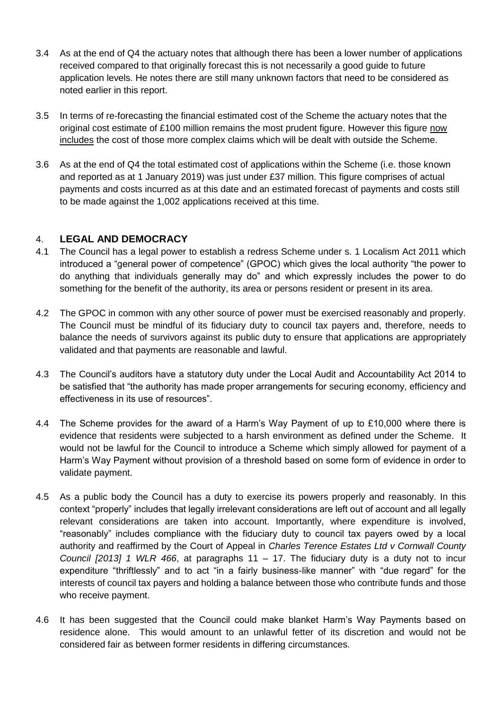- 3.4 As at the end of Q4 the actuary notes that although there has been a lower number of applications received compared to that originally forecast this is not necessarily a good guide to future application levels. He notes there are still many unknown factors that need to be considered as noted earlier in this report.
- 3.5 In terms of re-forecasting the financial estimated cost of the Scheme the actuary notes that the original cost estimate of £100 million remains the most prudent figure. However this figure now includes the cost of those more complex claims which will be dealt with outside the Scheme.
- 3.6 As at the end of Q4 the total estimated cost of applications within the Scheme (i.e. those known and reported as at 1 January 2019) was just under £37 million. This figure comprises of actual payments and costs incurred as at this date and an estimated forecast of payments and costs still to be made against the 1,002 applications received at this time.

# 4. **LEGAL AND DEMOCRACY**

- 4.1 The Council has a legal power to establish a redress Scheme under s. 1 Localism Act 2011 which introduced a "general power of competence" (GPOC) which gives the local authority "the power to do anything that individuals generally may do" and which expressly includes the power to do something for the benefit of the authority, its area or persons resident or present in its area.
- 4.2 The GPOC in common with any other source of power must be exercised reasonably and properly. The Council must be mindful of its fiduciary duty to council tax payers and, therefore, needs to balance the needs of survivors against its public duty to ensure that applications are appropriately validated and that payments are reasonable and lawful.
- 4.3 The Council's auditors have a statutory duty under the Local Audit and Accountability Act 2014 to be satisfied that "the authority has made proper arrangements for securing economy, efficiency and effectiveness in its use of resources".
- 4.4 The Scheme provides for the award of a Harm's Way Payment of up to £10,000 where there is evidence that residents were subjected to a harsh environment as defined under the Scheme. It would not be lawful for the Council to introduce a Scheme which simply allowed for payment of a Harm's Way Payment without provision of a threshold based on some form of evidence in order to validate payment.
- 4.5 As a public body the Council has a duty to exercise its powers properly and reasonably. In this context "properly" includes that legally irrelevant considerations are left out of account and all legally relevant considerations are taken into account. Importantly, where expenditure is involved, "reasonably" includes compliance with the fiduciary duty to council tax payers owed by a local authority and reaffirmed by the Court of Appeal in *Charles Terence Estates Ltd v Cornwall County Council [2013] 1 WLR 466*, at paragraphs 11 – 17. The fiduciary duty is a duty not to incur expenditure "thriftlessly" and to act "in a fairly business-like manner" with "due regard" for the interests of council tax payers and holding a balance between those who contribute funds and those who receive payment.
- 4.6 It has been suggested that the Council could make blanket Harm's Way Payments based on residence alone. This would amount to an unlawful fetter of its discretion and would not be considered fair as between former residents in differing circumstances.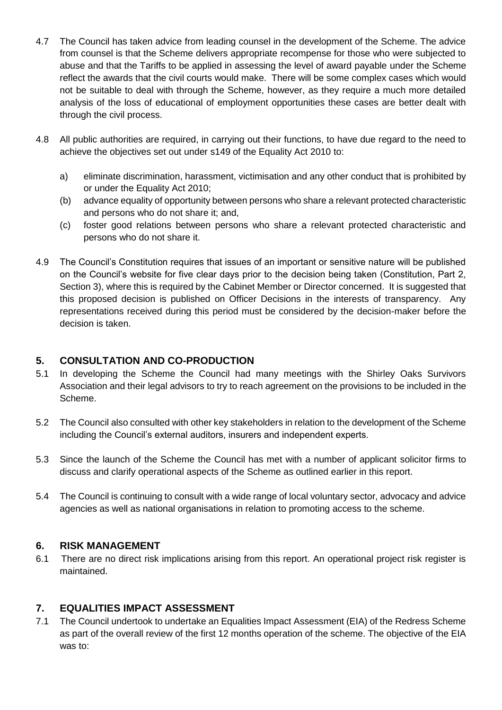- 4.7 The Council has taken advice from leading counsel in the development of the Scheme. The advice from counsel is that the Scheme delivers appropriate recompense for those who were subjected to abuse and that the Tariffs to be applied in assessing the level of award payable under the Scheme reflect the awards that the civil courts would make. There will be some complex cases which would not be suitable to deal with through the Scheme, however, as they require a much more detailed analysis of the loss of educational of employment opportunities these cases are better dealt with through the civil process.
- 4.8 All public authorities are required, in carrying out their functions, to have due regard to the need to achieve the objectives set out under s149 of the Equality Act 2010 to:
	- a) eliminate discrimination, harassment, victimisation and any other conduct that is prohibited by or under the Equality Act 2010;
	- (b) advance equality of opportunity between persons who share a relevant protected characteristic and persons who do not share it; and,
	- (c) foster good relations between persons who share a relevant protected characteristic and persons who do not share it.
- 4.9 The Council's Constitution requires that issues of an important or sensitive nature will be published on the Council's website for five clear days prior to the decision being taken (Constitution, Part 2, Section 3), where this is required by the Cabinet Member or Director concerned. It is suggested that this proposed decision is published on Officer Decisions in the interests of transparency. Any representations received during this period must be considered by the decision-maker before the decision is taken.

# **5. CONSULTATION AND CO-PRODUCTION**

- 5.1 In developing the Scheme the Council had many meetings with the Shirley Oaks Survivors Association and their legal advisors to try to reach agreement on the provisions to be included in the Scheme.
- 5.2 The Council also consulted with other key stakeholders in relation to the development of the Scheme including the Council's external auditors, insurers and independent experts.
- 5.3 Since the launch of the Scheme the Council has met with a number of applicant solicitor firms to discuss and clarify operational aspects of the Scheme as outlined earlier in this report.
- 5.4 The Council is continuing to consult with a wide range of local voluntary sector, advocacy and advice agencies as well as national organisations in relation to promoting access to the scheme.

# **6. RISK MANAGEMENT**

6.1 There are no direct risk implications arising from this report. An operational project risk register is maintained.

# **7. EQUALITIES IMPACT ASSESSMENT**

7.1 The Council undertook to undertake an Equalities Impact Assessment (EIA) of the Redress Scheme as part of the overall review of the first 12 months operation of the scheme. The objective of the EIA was to: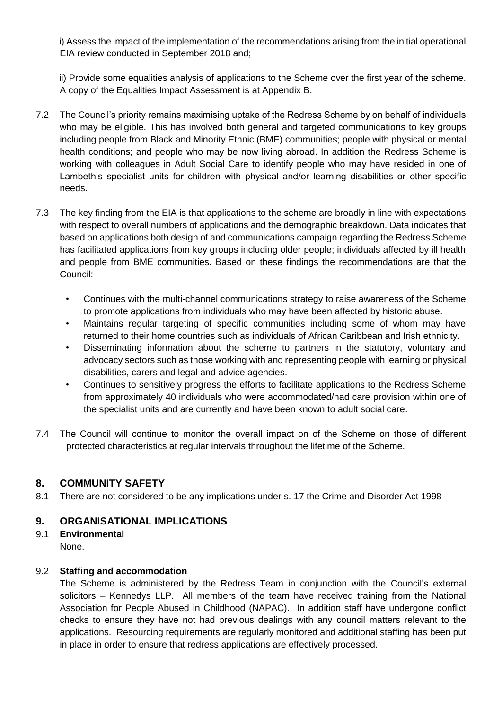i) Assess the impact of the implementation of the recommendations arising from the initial operational EIA review conducted in September 2018 and;

 ii) Provide some equalities analysis of applications to the Scheme over the first year of the scheme. A copy of the Equalities Impact Assessment is at Appendix B.

- 7.2 The Council's priority remains maximising uptake of the Redress Scheme by on behalf of individuals who may be eligible. This has involved both general and targeted communications to key groups including people from Black and Minority Ethnic (BME) communities; people with physical or mental health conditions; and people who may be now living abroad. In addition the Redress Scheme is working with colleagues in Adult Social Care to identify people who may have resided in one of Lambeth's specialist units for children with physical and/or learning disabilities or other specific needs.
- 7.3 The key finding from the EIA is that applications to the scheme are broadly in line with expectations with respect to overall numbers of applications and the demographic breakdown. Data indicates that based on applications both design of and communications campaign regarding the Redress Scheme has facilitated applications from key groups including older people; individuals affected by ill health and people from BME communities. Based on these findings the recommendations are that the Council:
	- Continues with the multi-channel communications strategy to raise awareness of the Scheme to promote applications from individuals who may have been affected by historic abuse.
	- Maintains regular targeting of specific communities including some of whom may have returned to their home countries such as individuals of African Caribbean and Irish ethnicity.
	- Disseminating information about the scheme to partners in the statutory, voluntary and advocacy sectors such as those working with and representing people with learning or physical disabilities, carers and legal and advice agencies.
	- Continues to sensitively progress the efforts to facilitate applications to the Redress Scheme from approximately 40 individuals who were accommodated/had care provision within one of the specialist units and are currently and have been known to adult social care.
- 7.4 The Council will continue to monitor the overall impact on of the Scheme on those of different protected characteristics at regular intervals throughout the lifetime of the Scheme.

# **8. COMMUNITY SAFETY**

8.1 There are not considered to be any implications under s. 17 the Crime and Disorder Act 1998

# **9. ORGANISATIONAL IMPLICATIONS**

9.1 **Environmental** None.

# 9.2 **Staffing and accommodation**

The Scheme is administered by the Redress Team in conjunction with the Council's external solicitors – Kennedys LLP. All members of the team have received training from the National Association for People Abused in Childhood (NAPAC). In addition staff have undergone conflict checks to ensure they have not had previous dealings with any council matters relevant to the applications. Resourcing requirements are regularly monitored and additional staffing has been put in place in order to ensure that redress applications are effectively processed.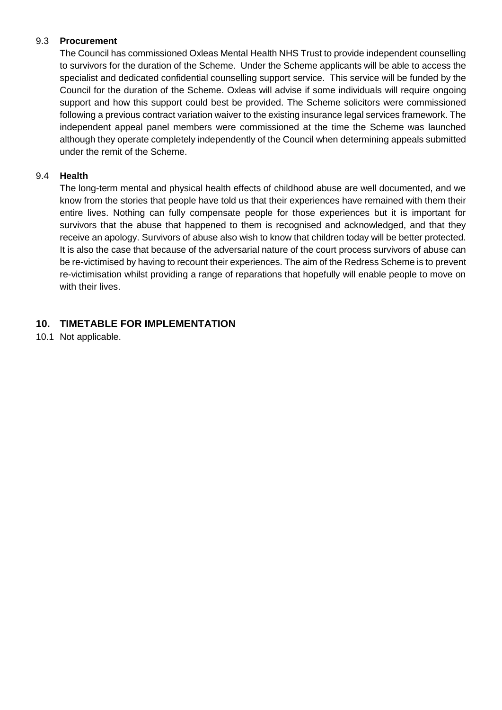## 9.3 **Procurement**

The Council has commissioned Oxleas Mental Health NHS Trust to provide independent counselling to survivors for the duration of the Scheme. Under the Scheme applicants will be able to access the specialist and dedicated confidential counselling support service. This service will be funded by the Council for the duration of the Scheme. Oxleas will advise if some individuals will require ongoing support and how this support could best be provided. The Scheme solicitors were commissioned following a previous contract variation waiver to the existing insurance legal services framework. The independent appeal panel members were commissioned at the time the Scheme was launched although they operate completely independently of the Council when determining appeals submitted under the remit of the Scheme.

#### 9.4 **Health**

The long-term mental and physical health effects of childhood abuse are well documented, and we know from the stories that people have told us that their experiences have remained with them their entire lives. Nothing can fully compensate people for those experiences but it is important for survivors that the abuse that happened to them is recognised and acknowledged, and that they receive an apology. Survivors of abuse also wish to know that children today will be better protected. It is also the case that because of the adversarial nature of the court process survivors of abuse can be re-victimised by having to recount their experiences. The aim of the Redress Scheme is to prevent re-victimisation whilst providing a range of reparations that hopefully will enable people to move on with their lives.

# **10. TIMETABLE FOR IMPLEMENTATION**

10.1 Not applicable.